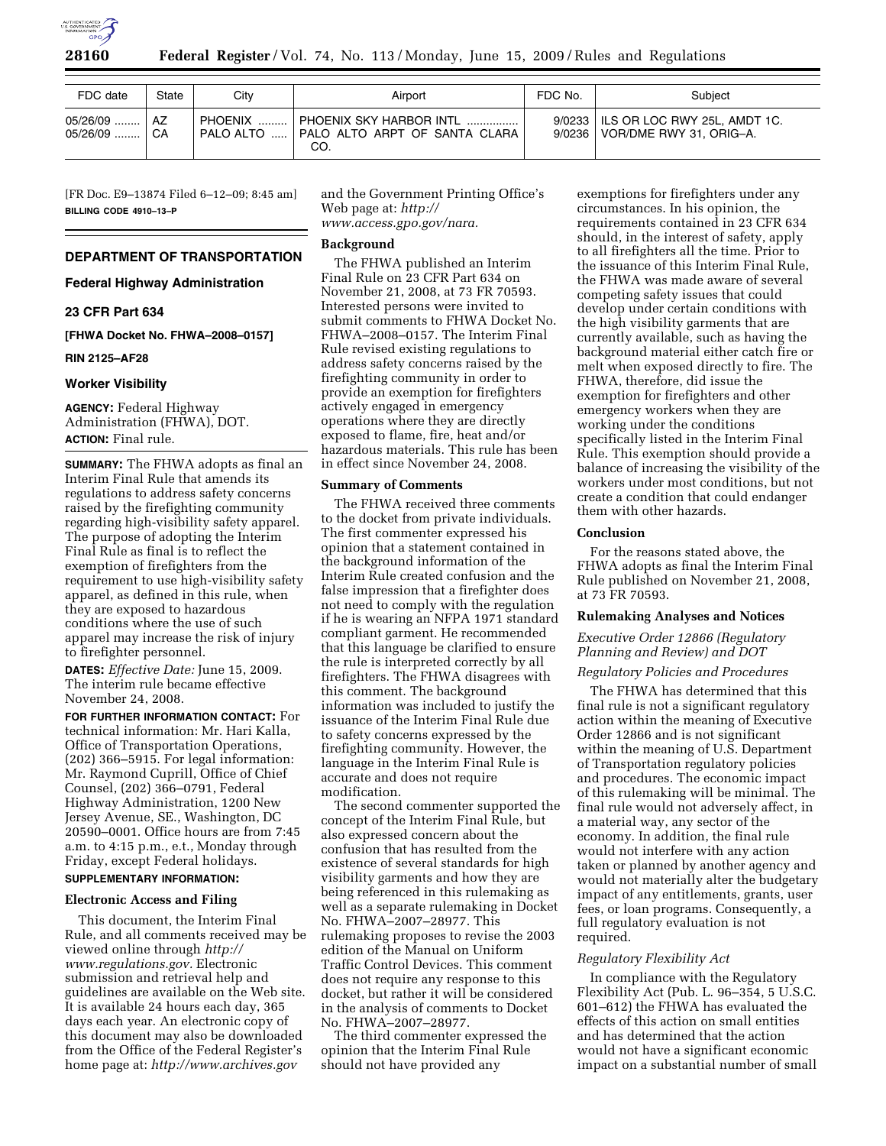

| FDC date               | State    | Citv      | Airport                                                         | FDC No. | Subject                                                                   |
|------------------------|----------|-----------|-----------------------------------------------------------------|---------|---------------------------------------------------------------------------|
| 05/26/09<br>$05/26/09$ | A7<br>CA | PALO ALTO | PHOENIX SKY HARBOR INTL<br>PALO ALTO ARPT OF SANTA CLARA<br>CO. |         | 9/0233   ILS OR LOC RWY 25L. AMDT 1C.<br>9/0236   VOR/DME RWY 31, ORIG-A. |

[FR Doc. E9–13874 Filed 6–12–09; 8:45 am] **BILLING CODE 4910–13–P** 

#### **DEPARTMENT OF TRANSPORTATION**

**Federal Highway Administration** 

#### **23 CFR Part 634**

**[FHWA Docket No. FHWA–2008–0157]** 

### **RIN 2125–AF28**

#### **Worker Visibility**

**AGENCY:** Federal Highway Administration (FHWA), DOT. **ACTION:** Final rule.

**SUMMARY:** The FHWA adopts as final an Interim Final Rule that amends its regulations to address safety concerns raised by the firefighting community regarding high-visibility safety apparel. The purpose of adopting the Interim Final Rule as final is to reflect the exemption of firefighters from the requirement to use high-visibility safety apparel, as defined in this rule, when they are exposed to hazardous conditions where the use of such apparel may increase the risk of injury to firefighter personnel.

**DATES:** *Effective Date:* June 15, 2009. The interim rule became effective November 24, 2008.

**FOR FURTHER INFORMATION CONTACT:** For technical information: Mr. Hari Kalla, Office of Transportation Operations, (202) 366–5915. For legal information: Mr. Raymond Cuprill, Office of Chief Counsel, (202) 366–0791, Federal Highway Administration, 1200 New Jersey Avenue, SE., Washington, DC 20590–0001. Office hours are from 7:45 a.m. to 4:15 p.m., e.t., Monday through Friday, except Federal holidays. **SUPPLEMENTARY INFORMATION:** 

# **Electronic Access and Filing**

This document, the Interim Final Rule, and all comments received may be viewed online through *http:// www.regulations.gov.* Electronic submission and retrieval help and guidelines are available on the Web site. It is available 24 hours each day, 365 days each year. An electronic copy of this document may also be downloaded from the Office of the Federal Register's home page at: *http://www.archives.gov* 

and the Government Printing Office's Web page at: *http:// www.access.gpo.gov/nara.* 

#### **Background**

The FHWA published an Interim Final Rule on 23 CFR Part 634 on November 21, 2008, at 73 FR 70593. Interested persons were invited to submit comments to FHWA Docket No. FHWA–2008–0157. The Interim Final Rule revised existing regulations to address safety concerns raised by the firefighting community in order to provide an exemption for firefighters actively engaged in emergency operations where they are directly exposed to flame, fire, heat and/or hazardous materials. This rule has been in effect since November 24, 2008.

# **Summary of Comments**

The FHWA received three comments to the docket from private individuals. The first commenter expressed his opinion that a statement contained in the background information of the Interim Rule created confusion and the false impression that a firefighter does not need to comply with the regulation if he is wearing an NFPA 1971 standard compliant garment. He recommended that this language be clarified to ensure the rule is interpreted correctly by all firefighters. The FHWA disagrees with this comment. The background information was included to justify the issuance of the Interim Final Rule due to safety concerns expressed by the firefighting community. However, the language in the Interim Final Rule is accurate and does not require modification.

The second commenter supported the concept of the Interim Final Rule, but also expressed concern about the confusion that has resulted from the existence of several standards for high visibility garments and how they are being referenced in this rulemaking as well as a separate rulemaking in Docket No. FHWA–2007–28977. This rulemaking proposes to revise the 2003 edition of the Manual on Uniform Traffic Control Devices. This comment does not require any response to this docket, but rather it will be considered in the analysis of comments to Docket No. FHWA–2007–28977.

The third commenter expressed the opinion that the Interim Final Rule should not have provided any

exemptions for firefighters under any circumstances. In his opinion, the requirements contained in 23 CFR 634 should, in the interest of safety, apply to all firefighters all the time. Prior to the issuance of this Interim Final Rule, the FHWA was made aware of several competing safety issues that could develop under certain conditions with the high visibility garments that are currently available, such as having the background material either catch fire or melt when exposed directly to fire. The FHWA, therefore, did issue the exemption for firefighters and other emergency workers when they are working under the conditions specifically listed in the Interim Final Rule. This exemption should provide a balance of increasing the visibility of the workers under most conditions, but not create a condition that could endanger them with other hazards.

#### **Conclusion**

For the reasons stated above, the FHWA adopts as final the Interim Final Rule published on November 21, 2008, at 73 FR 70593.

#### **Rulemaking Analyses and Notices**

## *Executive Order 12866 (Regulatory Planning and Review) and DOT*

#### *Regulatory Policies and Procedures*

The FHWA has determined that this final rule is not a significant regulatory action within the meaning of Executive Order 12866 and is not significant within the meaning of U.S. Department of Transportation regulatory policies and procedures. The economic impact of this rulemaking will be minimal. The final rule would not adversely affect, in a material way, any sector of the economy. In addition, the final rule would not interfere with any action taken or planned by another agency and would not materially alter the budgetary impact of any entitlements, grants, user fees, or loan programs. Consequently, a full regulatory evaluation is not required.

### *Regulatory Flexibility Act*

In compliance with the Regulatory Flexibility Act (Pub. L. 96–354, 5 U.S.C. 601–612) the FHWA has evaluated the effects of this action on small entities and has determined that the action would not have a significant economic impact on a substantial number of small